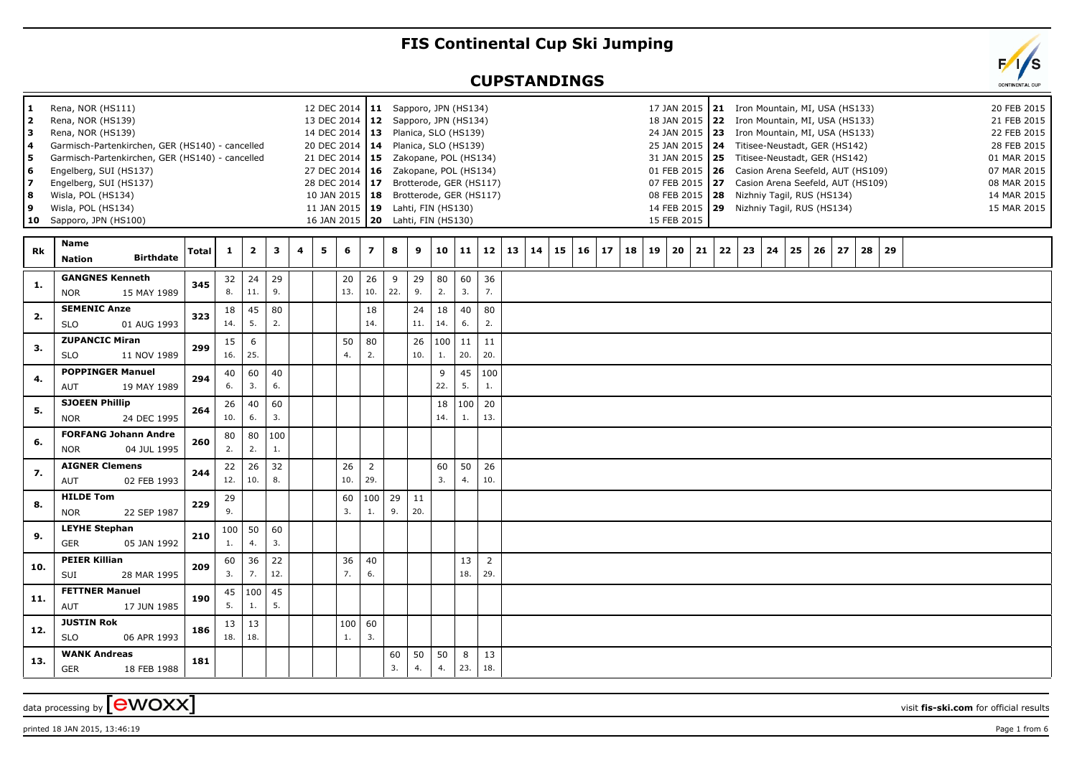## **FIS Continental Cup Ski Jumping**

## **CUPSTANDINGS**



| $\mathbf{2}$<br>3<br>4<br>5<br>6<br>7<br>8<br>9 | Rena, NOR (HS139)<br>Rena, NOR (HS139)<br>Garmisch-Partenkirchen, GER (HS140) - cancelled<br>Garmisch-Partenkirchen, GER (HS140) - cancelled<br>Engelberg, SUI (HS137)<br>Engelberg, SUI (HS137)<br>Wisla, POL (HS134)<br>Wisla, POL (HS134)<br>10 Sapporo, JPN (HS100) |              |           |                |                     |   |   | 13 DEC 2014   12 Sapporo, JPN (HS134)<br>14 DEC 2014   13 Planica, SLO (HS139)<br>20 DEC 2014 14 Planica, SLO (HS139)<br>21 DEC 2014   15 Zakopane, POL (HS134)<br>27 DEC 2014   16  Zakopane, POL (HS134)<br>28 DEC 2014   17 Brotterode, GER (HS117)<br>10 JAN 2015   18 Brotterode, GER (HS117)<br>11 JAN 2015   19 Lahti, FIN (HS130)<br>16 JAN 2015   20 Lahti, FIN (HS130) |                       |          |           |                       |           |                       |    |    |    |    |    |    |    | 18 JAN 2015 22 Iron Mountain, MI, USA (HS133)<br>24 JAN 2015   23 Iron Mountain, MI, USA (HS133)<br>25 JAN 2015 24 Titisee-Neustadt, GER (HS142)<br>31 JAN 2015 25 Titisee-Neustadt, GER (HS142)<br>01 FEB 2015   26 Casion Arena Seefeld, AUT (HS109)<br>07 FEB 2015 27 Casion Arena Seefeld, AUT (HS109)<br>08 FEB 2015   28 Nizhniy Tagil, RUS (HS134)<br>14 FEB 2015   29 Nizhniy Tagil, RUS (HS134)<br>15 FEB 2015 |    |    |    |    |    |    |    |    |    |  |  | 21 FEB 201<br>22 FEB 201<br>28 FEB 201<br>01 MAR 201<br>07 MAR 201<br>08 MAR 201<br>14 MAR 201<br>15 MAR 201 |  |
|-------------------------------------------------|-------------------------------------------------------------------------------------------------------------------------------------------------------------------------------------------------------------------------------------------------------------------------|--------------|-----------|----------------|---------------------|---|---|----------------------------------------------------------------------------------------------------------------------------------------------------------------------------------------------------------------------------------------------------------------------------------------------------------------------------------------------------------------------------------|-----------------------|----------|-----------|-----------------------|-----------|-----------------------|----|----|----|----|----|----|----|-------------------------------------------------------------------------------------------------------------------------------------------------------------------------------------------------------------------------------------------------------------------------------------------------------------------------------------------------------------------------------------------------------------------------|----|----|----|----|----|----|----|----|----|--|--|--------------------------------------------------------------------------------------------------------------|--|
| Rk                                              | Name<br><b>Birthdate</b><br><b>Nation</b>                                                                                                                                                                                                                               | <b>Total</b> | -1        | $\overline{2}$ | 3                   | 4 | 5 | 6                                                                                                                                                                                                                                                                                                                                                                                | $\overline{z}$        | 8        | 9         | 10                    | 11        | 12                    | 13 | 14 | 15 | 16 | 17 | 18 | 19 | 20                                                                                                                                                                                                                                                                                                                                                                                                                      | 21 | 22 | 23 | 24 | 25 | 26 | 27 | 28 | 29 |  |  |                                                                                                              |  |
| 1.                                              | <b>GANGNES Kenneth</b><br><b>NOR</b><br>15 MAY 1989                                                                                                                                                                                                                     | 345          | 32<br>8.  | 24<br>11.      | 29<br>9.            |   |   | 20<br>13.                                                                                                                                                                                                                                                                                                                                                                        | 26<br>10.             | 9<br>22. | 29<br>9.  | 80<br>2.              | 60<br>3.  | 36<br>7.              |    |    |    |    |    |    |    |                                                                                                                                                                                                                                                                                                                                                                                                                         |    |    |    |    |    |    |    |    |    |  |  |                                                                                                              |  |
| 2.                                              | <b>SEMENIC Anze</b><br><b>SLO</b><br>01 AUG 1993                                                                                                                                                                                                                        | 323          | 18<br>14. | 45<br>5.       | 80<br>2.            |   |   |                                                                                                                                                                                                                                                                                                                                                                                  | 18<br>14.             |          | 24<br>11. | 18<br>14.             | 40<br>6.  | 80<br>2.              |    |    |    |    |    |    |    |                                                                                                                                                                                                                                                                                                                                                                                                                         |    |    |    |    |    |    |    |    |    |  |  |                                                                                                              |  |
| 3.                                              | <b>ZUPANCIC Miran</b><br><b>SLO</b><br>11 NOV 1989                                                                                                                                                                                                                      | 299          | 15<br>16. | 6<br>25.       |                     |   |   | 50<br>4.                                                                                                                                                                                                                                                                                                                                                                         | 80<br>2.              |          | 26<br>10. | 100<br>$\mathbf{1}$ . | 11<br>20. | 11<br>20.             |    |    |    |    |    |    |    |                                                                                                                                                                                                                                                                                                                                                                                                                         |    |    |    |    |    |    |    |    |    |  |  |                                                                                                              |  |
| 4.                                              | <b>POPPINGER Manuel</b><br>AUT<br>19 MAY 1989                                                                                                                                                                                                                           | 294          | 40<br>6.  | 60<br>3.       | 40<br>6.            |   |   |                                                                                                                                                                                                                                                                                                                                                                                  |                       |          |           | 9<br>22.              | 45<br>5.  | 100<br>1.             |    |    |    |    |    |    |    |                                                                                                                                                                                                                                                                                                                                                                                                                         |    |    |    |    |    |    |    |    |    |  |  |                                                                                                              |  |
| 5.                                              | <b>SJOEEN Phillip</b><br><b>NOR</b><br>24 DEC 1995                                                                                                                                                                                                                      | 264          | 26<br>10. | 40<br>6.       | 60<br>3.            |   |   |                                                                                                                                                                                                                                                                                                                                                                                  |                       |          |           | 18<br>14.             | 100<br>1. | 20<br>13.             |    |    |    |    |    |    |    |                                                                                                                                                                                                                                                                                                                                                                                                                         |    |    |    |    |    |    |    |    |    |  |  |                                                                                                              |  |
| 6.                                              | <b>FORFANG Johann Andre</b><br>04 JUL 1995<br><b>NOR</b>                                                                                                                                                                                                                | 260          | 80<br>2.  | 80<br>2.       | $ 100\rangle$<br>1. |   |   |                                                                                                                                                                                                                                                                                                                                                                                  |                       |          |           |                       |           |                       |    |    |    |    |    |    |    |                                                                                                                                                                                                                                                                                                                                                                                                                         |    |    |    |    |    |    |    |    |    |  |  |                                                                                                              |  |
| 7.                                              | <b>AIGNER Clemens</b><br>AUT<br>02 FEB 1993                                                                                                                                                                                                                             | 244          | 22<br>12. | 26<br>10.      | 32<br>8.            |   |   | 26<br>10.                                                                                                                                                                                                                                                                                                                                                                        | $\overline{2}$<br>29. |          |           | 60<br>3.              | 50<br>4.  | 26<br>10.             |    |    |    |    |    |    |    |                                                                                                                                                                                                                                                                                                                                                                                                                         |    |    |    |    |    |    |    |    |    |  |  |                                                                                                              |  |
| 8.                                              | <b>HILDE Tom</b><br><b>NOR</b><br>22 SEP 1987                                                                                                                                                                                                                           | 229          | 29<br>9.  |                |                     |   |   | 60<br>3.                                                                                                                                                                                                                                                                                                                                                                         | 100<br>1.             | 29<br>9. | 11<br>20. |                       |           |                       |    |    |    |    |    |    |    |                                                                                                                                                                                                                                                                                                                                                                                                                         |    |    |    |    |    |    |    |    |    |  |  |                                                                                                              |  |
| 9.                                              | <b>LEYHE Stephan</b><br><b>GER</b><br>05 JAN 1992                                                                                                                                                                                                                       | 210          | 100<br>1. | 50<br>4.       | 60<br>3.            |   |   |                                                                                                                                                                                                                                                                                                                                                                                  |                       |          |           |                       |           |                       |    |    |    |    |    |    |    |                                                                                                                                                                                                                                                                                                                                                                                                                         |    |    |    |    |    |    |    |    |    |  |  |                                                                                                              |  |
| 10.                                             | <b>PEIER Killian</b><br>SUI<br>28 MAR 1995                                                                                                                                                                                                                              | 209          | 60<br>3.  | 36<br>7.       | 22<br>12.           |   |   | 36<br>7.                                                                                                                                                                                                                                                                                                                                                                         | 40<br>6.              |          |           |                       | 13<br>18. | $\overline{2}$<br>29. |    |    |    |    |    |    |    |                                                                                                                                                                                                                                                                                                                                                                                                                         |    |    |    |    |    |    |    |    |    |  |  |                                                                                                              |  |
| 11.                                             | <b>FETTNER Manuel</b><br><b>AUT</b><br>17 JUN 1985                                                                                                                                                                                                                      | 190          | 45<br>5.  | 100<br>$1.$    | 45<br>5.            |   |   |                                                                                                                                                                                                                                                                                                                                                                                  |                       |          |           |                       |           |                       |    |    |    |    |    |    |    |                                                                                                                                                                                                                                                                                                                                                                                                                         |    |    |    |    |    |    |    |    |    |  |  |                                                                                                              |  |
| 12.                                             | <b>JUSTIN Rok</b><br><b>SLO</b><br>06 APR 1993                                                                                                                                                                                                                          | 186          | 13<br>18. | 13<br>18.      |                     |   |   | 100<br>1.                                                                                                                                                                                                                                                                                                                                                                        | 60<br>3.              |          |           |                       |           |                       |    |    |    |    |    |    |    |                                                                                                                                                                                                                                                                                                                                                                                                                         |    |    |    |    |    |    |    |    |    |  |  |                                                                                                              |  |
| 13.                                             | <b>WANK Andreas</b><br><b>GER</b><br>18 FEB 1988                                                                                                                                                                                                                        | 181          |           |                |                     |   |   |                                                                                                                                                                                                                                                                                                                                                                                  |                       | 60<br>3. | 50<br>4.  | 50<br>4.              | 8<br>23.  | 13<br>18.             |    |    |    |    |    |    |    |                                                                                                                                                                                                                                                                                                                                                                                                                         |    |    |    |    |    |    |    |    |    |  |  |                                                                                                              |  |

data processing by **CWOXX** visit fis-ski.com for official results

**1** Rena, NOR (HS111)

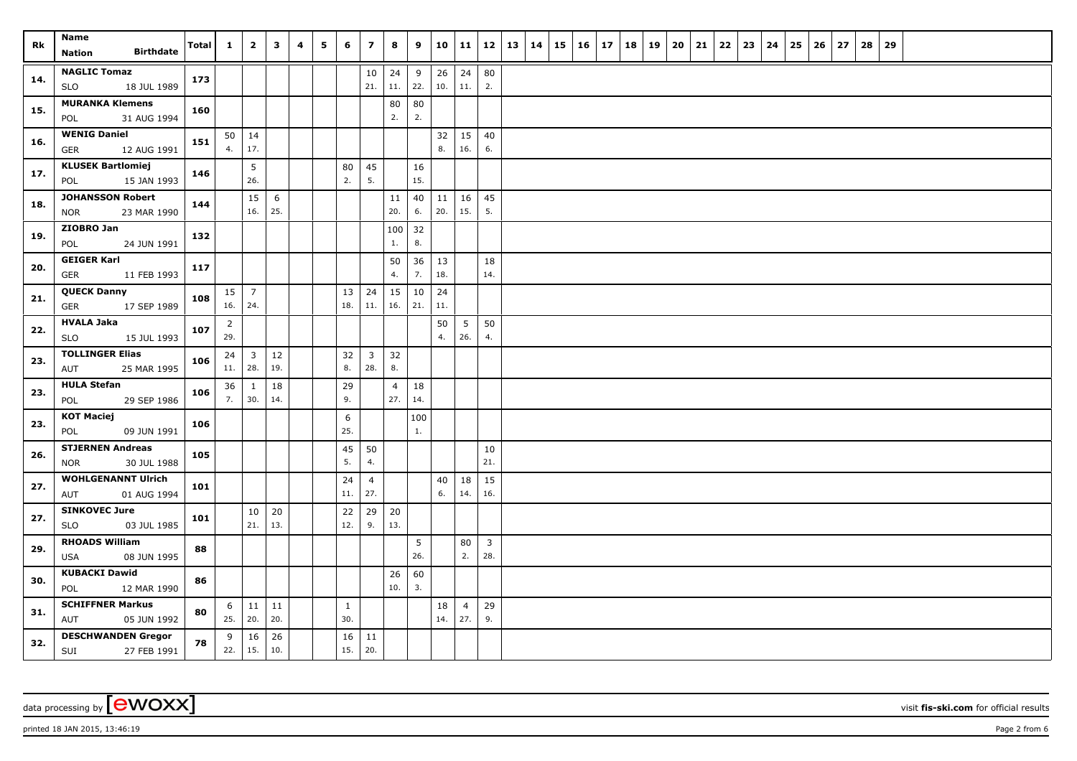| Rk  | Name<br><b>Birthdate</b><br><b>Nation</b>            | Total | $\mathbf{1}$          | $\mathbf{2}$            | $\mathbf{3}$ | 4 | 5 | 6                   | $\overline{\mathbf{z}}$ | 8                     | 9         | 10           | 11                    | 12                             | 13 | 14 | $15 \mid 16$ | 17 | 18 | 19 | 20 | 21 | 22 | 23 | 24 | 25 | 26 | 27 | 28 | 29 |  |  |  |
|-----|------------------------------------------------------|-------|-----------------------|-------------------------|--------------|---|---|---------------------|-------------------------|-----------------------|-----------|--------------|-----------------------|--------------------------------|----|----|--------------|----|----|----|----|----|----|----|----|----|----|----|----|----|--|--|--|
| 14. | <b>NAGLIC Tomaz</b><br>18 JUL 1989<br>SLO            | 173   |                       |                         |              |   |   |                     | $10\,$<br>21.           | 24<br>11.             | 9<br>22.  | 26<br>10.    | 24<br>11.             | 80<br>2.                       |    |    |              |    |    |    |    |    |    |    |    |    |    |    |    |    |  |  |  |
| 15. | <b>MURANKA Klemens</b><br>31 AUG 1994<br>POL         | 160   |                       |                         |              |   |   |                     |                         | 80<br>2.              | 80<br>2.  |              |                       |                                |    |    |              |    |    |    |    |    |    |    |    |    |    |    |    |    |  |  |  |
| 16. | <b>WENIG Daniel</b><br><b>GER</b><br>12 AUG 1991     | 151   | $50 \mid 14$<br>4.    | 17.                     |              |   |   |                     |                         |                       |           | 32<br>8.     | 15<br>16.             | 40<br>6.                       |    |    |              |    |    |    |    |    |    |    |    |    |    |    |    |    |  |  |  |
| 17. | <b>KLUSEK Bartlomiej</b><br>15 JAN 1993<br>POL       | 146   |                       | 5<br>26.                |              |   |   | 80<br>2.            | 45<br>5.                |                       | 16<br>15. |              |                       |                                |    |    |              |    |    |    |    |    |    |    |    |    |    |    |    |    |  |  |  |
| 18. | <b>JOHANSSON Robert</b><br><b>NOR</b><br>23 MAR 1990 | 144   |                       | 15<br>16.               | 6<br>25.     |   |   |                     |                         | 11<br>20.             | 40<br>6.  | 11<br>20.    | 16<br>15.             | 45<br>5.                       |    |    |              |    |    |    |    |    |    |    |    |    |    |    |    |    |  |  |  |
| 19. | ZIOBRO Jan<br>24 JUN 1991<br>POL                     | 132   |                       |                         |              |   |   |                     |                         | $100$ 32<br>1.        | 8.        |              |                       |                                |    |    |              |    |    |    |    |    |    |    |    |    |    |    |    |    |  |  |  |
| 20. | <b>GEIGER Karl</b><br>GER<br>11 FEB 1993             | 117   |                       |                         |              |   |   |                     |                         | 50<br>4.              | 36<br>7.  | 13<br>18.    |                       | 18<br>14.                      |    |    |              |    |    |    |    |    |    |    |    |    |    |    |    |    |  |  |  |
| 21. | <b>QUECK Danny</b><br>17 SEP 1989<br>GER             | 108   | $15 \mid 7$<br>16.    | 24.                     |              |   |   | 13<br>18.           | 24<br>11.               | $15 \mid 10$<br>16.   | 21.       | 24<br>11.    |                       |                                |    |    |              |    |    |    |    |    |    |    |    |    |    |    |    |    |  |  |  |
| 22. | <b>HVALA Jaka</b><br>15 JUL 1993<br>SLO              | 107   | $\overline{2}$<br>29. |                         |              |   |   |                     |                         |                       |           | 50<br>4.     | 5 <sup>7</sup><br>26. | 50<br>4.                       |    |    |              |    |    |    |    |    |    |    |    |    |    |    |    |    |  |  |  |
| 23. | <b>TOLLINGER Elias</b><br>25 MAR 1995<br>AUT         | 106   | 24<br>11.   28.       | $\overline{\mathbf{3}}$ | 12<br>19.    |   |   | 32<br>8.            | $\mathbf{3}$<br>28.     | 32<br>8.              |           |              |                       |                                |    |    |              |    |    |    |    |    |    |    |    |    |    |    |    |    |  |  |  |
| 23. | <b>HULA Stefan</b><br>29 SEP 1986<br>POL             | 106   | 36<br>7.              | <sup>1</sup><br>30.     | 18<br>14.    |   |   | 29<br>9.            |                         | $\overline{4}$<br>27. | 18<br>14. |              |                       |                                |    |    |              |    |    |    |    |    |    |    |    |    |    |    |    |    |  |  |  |
| 23. | <b>KOT Maciej</b><br>09 JUN 1991<br>POL              | 106   |                       |                         |              |   |   | 6<br>25.            |                         |                       | 100<br>1. |              |                       |                                |    |    |              |    |    |    |    |    |    |    |    |    |    |    |    |    |  |  |  |
| 26. | <b>STJERNEN Andreas</b><br><b>NOR</b><br>30 JUL 1988 | 105   |                       |                         |              |   |   | 45<br>5.            | 50<br>4.                |                       |           |              |                       | 10<br>21.                      |    |    |              |    |    |    |    |    |    |    |    |    |    |    |    |    |  |  |  |
| 27. | <b>WOHLGENANNT Ulrich</b><br>01 AUG 1994<br>AUT      | 101   |                       |                         |              |   |   | 24<br>11.           | $\overline{4}$<br>27.   |                       |           | $40\,$<br>6. | 18<br>14.             | 15<br>16.                      |    |    |              |    |    |    |    |    |    |    |    |    |    |    |    |    |  |  |  |
| 27. | <b>SINKOVEC Jure</b><br><b>SLO</b><br>03 JUL 1985    | 101   |                       | 10<br>21.               | 20<br>13.    |   |   | 22<br>12.           | 29<br>9.                | 20<br>13.             |           |              |                       |                                |    |    |              |    |    |    |    |    |    |    |    |    |    |    |    |    |  |  |  |
| 29. | <b>RHOADS William</b><br>08 JUN 1995<br><b>USA</b>   | 88    |                       |                         |              |   |   |                     |                         |                       | 5<br>26.  |              | 80<br>2.              | $\overline{\mathbf{3}}$<br>28. |    |    |              |    |    |    |    |    |    |    |    |    |    |    |    |    |  |  |  |
| 30. | <b>KUBACKI Dawid</b><br>POL<br>12 MAR 1990           | 86    |                       |                         |              |   |   |                     |                         | 26<br>10.             | 60<br>3.  |              |                       |                                |    |    |              |    |    |    |    |    |    |    |    |    |    |    |    |    |  |  |  |
| 31. | <b>SCHIFFNER Markus</b><br>AUT<br>05 JUN 1992        | 80    | 6<br>$25.$ 20.        | 11                      | 11<br>20.    |   |   | $\mathbf{1}$<br>30. |                         |                       |           | 18<br>14.    | $\overline{4}$<br>27. | 29<br>9.                       |    |    |              |    |    |    |    |    |    |    |    |    |    |    |    |    |  |  |  |
| 32. | <b>DESCHWANDEN Gregor</b><br>27 FEB 1991<br>SUI      | 78    | 9<br>22.              | 16<br>  $15.$           | 26<br>10.    |   |   | 16<br>15.           | 11<br>20.               |                       |           |              |                       |                                |    |    |              |    |    |    |    |    |    |    |    |    |    |    |    |    |  |  |  |

data processing by **CWOXX** visit **fis-ski.com** for official results

printed 18 JAN 2015, 13:46:19 **Page 2** from 6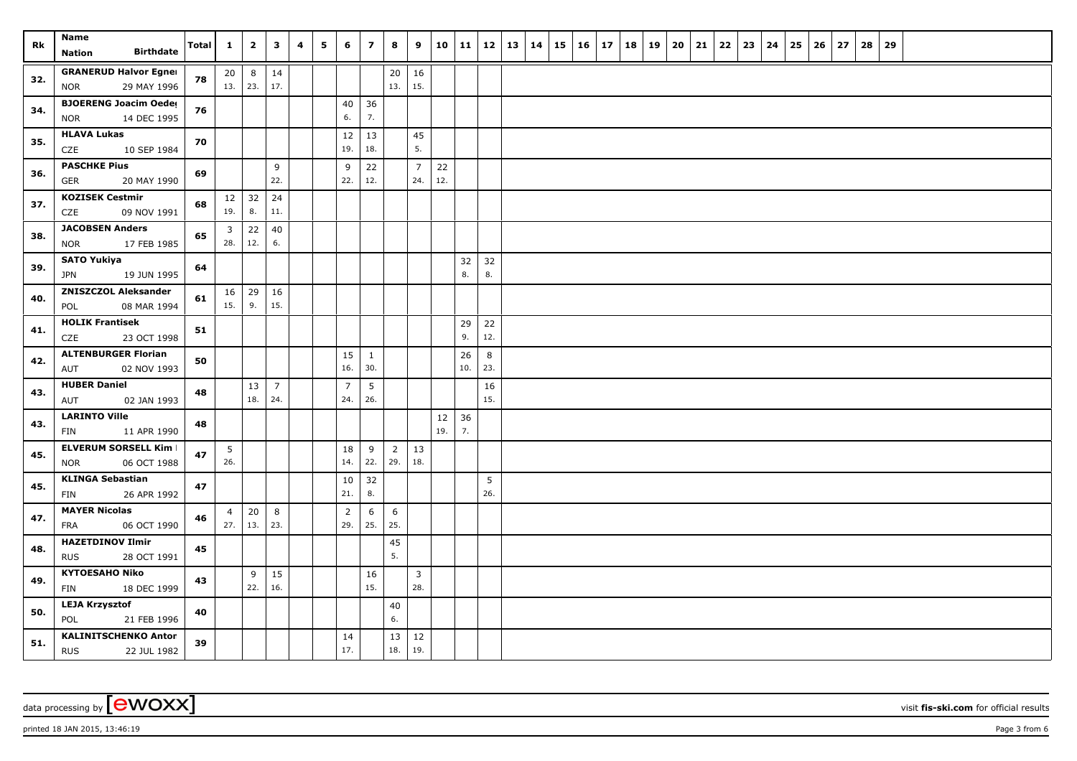| Rk  | <b>Name</b><br><b>Birthdate</b><br><b>Nation</b>          | <b>Total</b> | $\mathbf{1}$                   | $\overline{2}$ | $\mathbf{3}$          | 4 | 5 | 6                     | $\overline{z}$      | 8         | 9                     |           | 10   11   |           | $12 \mid 13 \mid 14$ | 15 | 16 | 17 | 18   19 | 20 | 21 | 22 | 23 | 24 | 25 | 26 | 27 | 28 | 29 |  |  |  |
|-----|-----------------------------------------------------------|--------------|--------------------------------|----------------|-----------------------|---|---|-----------------------|---------------------|-----------|-----------------------|-----------|-----------|-----------|----------------------|----|----|----|---------|----|----|----|----|----|----|----|----|----|----|--|--|--|
| 32. | <b>GRANERUD Halvor Egner</b><br>29 MAY 1996<br><b>NOR</b> | 78           | 20<br>13.   23.                | 8              | 14<br>17.             |   |   |                       |                     | 20<br>13. | 16<br>15.             |           |           |           |                      |    |    |    |         |    |    |    |    |    |    |    |    |    |    |  |  |  |
| 34. | <b>BJOERENG Joacim Oedes</b><br>14 DEC 1995<br><b>NOR</b> | 76           |                                |                |                       |   |   | 40<br>6.              | 36<br>7.            |           |                       |           |           |           |                      |    |    |    |         |    |    |    |    |    |    |    |    |    |    |  |  |  |
| 35. | <b>HLAVA Lukas</b><br>CZE<br>10 SEP 1984                  | 70           |                                |                |                       |   |   | 12<br>19.             | 13<br>18.           |           | 45<br>5.              |           |           |           |                      |    |    |    |         |    |    |    |    |    |    |    |    |    |    |  |  |  |
| 36. | <b>PASCHKE Pius</b><br>20 MAY 1990<br><b>GER</b>          | 69           |                                |                | 9<br>22.              |   |   | 9<br>22.              | 22<br>12.           |           | $\overline{7}$<br>24. | 22<br>12. |           |           |                      |    |    |    |         |    |    |    |    |    |    |    |    |    |    |  |  |  |
| 37. | <b>KOZISEK Cestmir</b><br>CZE<br>09 NOV 1991              | 68           | 12 <br>19.                     | 32<br>8.       | 24<br>11.             |   |   |                       |                     |           |                       |           |           |           |                      |    |    |    |         |    |    |    |    |    |    |    |    |    |    |  |  |  |
| 38. | <b>JACOBSEN Anders</b><br>17 FEB 1985<br><b>NOR</b>       | 65           | $\overline{\mathbf{3}}$<br>28. | 22<br>12.      | 40<br>6.              |   |   |                       |                     |           |                       |           |           |           |                      |    |    |    |         |    |    |    |    |    |    |    |    |    |    |  |  |  |
| 39. | <b>SATO Yukiya</b><br>19 JUN 1995<br>JPN                  | 64           |                                |                |                       |   |   |                       |                     |           |                       |           | 32<br>8.  | 32<br>8.  |                      |    |    |    |         |    |    |    |    |    |    |    |    |    |    |  |  |  |
| 40. | <b>ZNISZCZOL Aleksander</b><br>POL<br>08 MAR 1994         | 61           | 16<br>15.                      | 29<br>9.       | 16<br>15.             |   |   |                       |                     |           |                       |           |           |           |                      |    |    |    |         |    |    |    |    |    |    |    |    |    |    |  |  |  |
| 41. | <b>HOLIK Frantisek</b><br>23 OCT 1998<br>CZE              | 51           |                                |                |                       |   |   |                       |                     |           |                       |           | 29<br>9.  | 22<br>12. |                      |    |    |    |         |    |    |    |    |    |    |    |    |    |    |  |  |  |
| 42. | <b>ALTENBURGER Florian</b><br>AUT<br>02 NOV 1993          | 50           |                                |                |                       |   |   | 15<br>16.             | $\mathbf{1}$<br>30. |           |                       |           | 26<br>10. | 8<br>23.  |                      |    |    |    |         |    |    |    |    |    |    |    |    |    |    |  |  |  |
| 43. | <b>HUBER Daniel</b><br>AUT<br>02 JAN 1993                 | 48           |                                | 13<br>18.      | $\overline{7}$<br>24. |   |   | $\overline{7}$<br>24. | 5<br>26.            |           |                       |           |           | 16<br>15. |                      |    |    |    |         |    |    |    |    |    |    |    |    |    |    |  |  |  |
| 43. | <b>LARINTO Ville</b><br>11 APR 1990<br>FIN                | 48           |                                |                |                       |   |   |                       |                     |           |                       | 12<br>19. | 36<br>7.  |           |                      |    |    |    |         |    |    |    |    |    |    |    |    |    |    |  |  |  |
| 45. | <b>ELVERUM SORSELL Kim I</b><br>06 OCT 1988<br><b>NOR</b> | 47           | 5<br>26.                       |                |                       |   |   | 18<br>14.             | 9<br>22.            | 29.       | $2 \mid 13$<br>18.    |           |           |           |                      |    |    |    |         |    |    |    |    |    |    |    |    |    |    |  |  |  |
| 45. | <b>KLINGA Sebastian</b><br>26 APR 1992<br>FIN             | 47           |                                |                |                       |   |   | 10<br>21.             | 32<br>8.            |           |                       |           |           | 5<br>26.  |                      |    |    |    |         |    |    |    |    |    |    |    |    |    |    |  |  |  |
| 47. | <b>MAYER Nicolas</b><br><b>FRA</b><br>06 OCT 1990         | 46           | $\overline{4}$<br>27.          | 20<br>13.      | 8<br>23.              |   |   | $\overline{2}$<br>29. | 6<br>25.            | 6<br>25.  |                       |           |           |           |                      |    |    |    |         |    |    |    |    |    |    |    |    |    |    |  |  |  |
| 48. | <b>HAZETDINOV Ilmir</b><br>28 OCT 1991<br><b>RUS</b>      | 45           |                                |                |                       |   |   |                       |                     | 45<br>5.  |                       |           |           |           |                      |    |    |    |         |    |    |    |    |    |    |    |    |    |    |  |  |  |
| 49. | <b>KYTOESAHO Niko</b><br><b>FIN</b><br>18 DEC 1999        | 43           |                                | 9<br>22.       | 15<br>16.             |   |   |                       | 16<br>15.           |           | $\mathbf{3}$<br>28.   |           |           |           |                      |    |    |    |         |    |    |    |    |    |    |    |    |    |    |  |  |  |
| 50. | <b>LEJA Krzysztof</b><br>POL<br>21 FEB 1996               | 40           |                                |                |                       |   |   |                       |                     | 40<br>6.  |                       |           |           |           |                      |    |    |    |         |    |    |    |    |    |    |    |    |    |    |  |  |  |
| 51. | <b>KALINITSCHENKO Anton</b><br><b>RUS</b><br>22 JUL 1982  | 39           |                                |                |                       |   |   | 14<br>17.             |                     | 13<br>18. | 12<br>19.             |           |           |           |                      |    |    |    |         |    |    |    |    |    |    |    |    |    |    |  |  |  |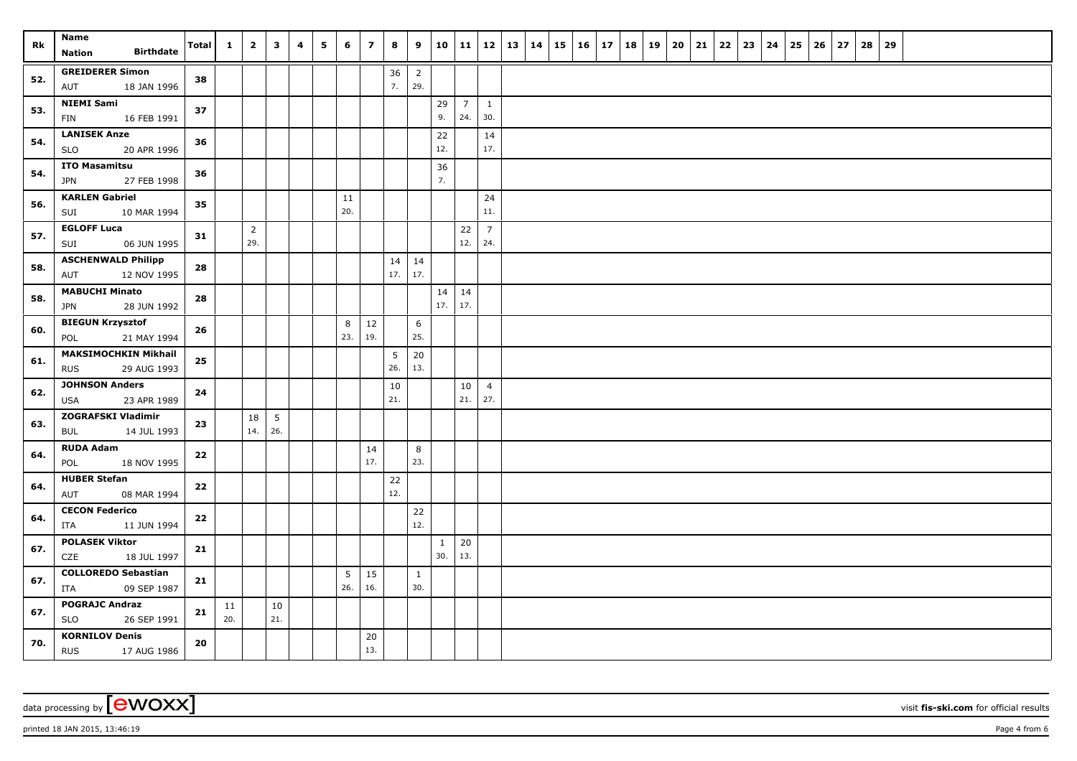| Rk  | Name<br><b>Birthdate</b><br>Nation                       | Total | $\mathbf{1}$ | $\overline{2}$        | $\overline{\mathbf{3}}$ | 4 | 5 | 6         | $\overline{z}$ | 8         | 9                     | 10                  | 11   12   13   14      |                       |  | $15 \mid 16 \mid$ | 17 | 18 | 19 | 20 | 21 | $22 \mid 23$ | 24 | 25 | 26 | 27 | 28 | 29 |  |  |  |
|-----|----------------------------------------------------------|-------|--------------|-----------------------|-------------------------|---|---|-----------|----------------|-----------|-----------------------|---------------------|------------------------|-----------------------|--|-------------------|----|----|----|----|----|--------------|----|----|----|----|----|----|--|--|--|
| 52. | <b>GREIDERER Simon</b><br>18 JAN 1996<br>AUT             | 38    |              |                       |                         |   |   |           |                | 36<br>7.  | $\overline{2}$<br>29. |                     |                        |                       |  |                   |    |    |    |    |    |              |    |    |    |    |    |    |  |  |  |
| 53. | <b>NIEMI Sami</b><br><b>FIN</b><br>16 FEB 1991           | 37    |              |                       |                         |   |   |           |                |           |                       | 29<br>9.            | $7\overline{ }$<br>24. | $\mathbf{1}$<br>30.   |  |                   |    |    |    |    |    |              |    |    |    |    |    |    |  |  |  |
| 54. | <b>LANISEK Anze</b><br><b>SLO</b><br>20 APR 1996         | 36    |              |                       |                         |   |   |           |                |           |                       | 22<br>12.           |                        | 14<br>17.             |  |                   |    |    |    |    |    |              |    |    |    |    |    |    |  |  |  |
| 54. | <b>ITO Masamitsu</b><br>27 FEB 1998<br><b>JPN</b>        | 36    |              |                       |                         |   |   |           |                |           |                       | 36<br>7.            |                        |                       |  |                   |    |    |    |    |    |              |    |    |    |    |    |    |  |  |  |
| 56. | <b>KARLEN Gabriel</b><br>10 MAR 1994<br>SUI              | 35    |              |                       |                         |   |   | 11<br>20. |                |           |                       |                     |                        | 24<br>11.             |  |                   |    |    |    |    |    |              |    |    |    |    |    |    |  |  |  |
| 57. | <b>EGLOFF Luca</b><br>06 JUN 1995<br>SUI                 | 31    |              | $\overline{2}$<br>29. |                         |   |   |           |                |           |                       |                     | 22<br>12.              | $\overline{7}$<br>24. |  |                   |    |    |    |    |    |              |    |    |    |    |    |    |  |  |  |
| 58. | <b>ASCHENWALD Philipp</b><br>12 NOV 1995<br>AUT          | 28    |              |                       |                         |   |   |           |                | $17.$ 17. | $14 \mid 14$          |                     |                        |                       |  |                   |    |    |    |    |    |              |    |    |    |    |    |    |  |  |  |
| 58. | <b>MABUCHI Minato</b><br>28 JUN 1992<br><b>JPN</b>       | 28    |              |                       |                         |   |   |           |                |           |                       | 14<br>17.           | 14<br>17.              |                       |  |                   |    |    |    |    |    |              |    |    |    |    |    |    |  |  |  |
| 60. | <b>BIEGUN Krzysztof</b><br>21 MAY 1994<br>POL            | 26    |              |                       |                         |   |   | 8<br>23.  | 12<br>19.      |           | 6<br>25.              |                     |                        |                       |  |                   |    |    |    |    |    |              |    |    |    |    |    |    |  |  |  |
| 61. | <b>MAKSIMOCHKIN Mikhail</b><br>29 AUG 1993<br><b>RUS</b> | 25    |              |                       |                         |   |   |           |                | 5<br>26.  | 20<br>13.             |                     |                        |                       |  |                   |    |    |    |    |    |              |    |    |    |    |    |    |  |  |  |
| 62. | <b>JOHNSON Anders</b><br>23 APR 1989<br>USA              | 24    |              |                       |                         |   |   |           |                | 10<br>21. |                       |                     | 10<br>21.              | $\overline{4}$<br>27. |  |                   |    |    |    |    |    |              |    |    |    |    |    |    |  |  |  |
| 63. | <b>ZOGRAFSKI Vladimir</b><br>14 JUL 1993<br>BUL          | 23    |              | 18<br>14.             | $5\overline{5}$<br>26.  |   |   |           |                |           |                       |                     |                        |                       |  |                   |    |    |    |    |    |              |    |    |    |    |    |    |  |  |  |
| 64. | <b>RUDA Adam</b><br>18 NOV 1995<br>POL                   | 22    |              |                       |                         |   |   |           | 14<br>17.      |           | 8<br>23.              |                     |                        |                       |  |                   |    |    |    |    |    |              |    |    |    |    |    |    |  |  |  |
| 64. | <b>HUBER Stefan</b><br>08 MAR 1994<br>AUT                | 22    |              |                       |                         |   |   |           |                | 22<br>12. |                       |                     |                        |                       |  |                   |    |    |    |    |    |              |    |    |    |    |    |    |  |  |  |
| 64. | <b>CECON Federico</b><br>11 JUN 1994<br>ITA              | 22    |              |                       |                         |   |   |           |                |           | 22<br>12.             |                     |                        |                       |  |                   |    |    |    |    |    |              |    |    |    |    |    |    |  |  |  |
| 67. | <b>POLASEK Viktor</b><br>CZE<br>18 JUL 1997              | 21    |              |                       |                         |   |   |           |                |           |                       | $\mathbf{1}$<br>30. | 20<br>13.              |                       |  |                   |    |    |    |    |    |              |    |    |    |    |    |    |  |  |  |
| 67. | <b>COLLOREDO Sebastian</b><br>09 SEP 1987<br>ITA         | 21    |              |                       |                         |   |   | 5<br>26.  | 15<br>16.      |           | $\mathbf{1}$<br>30.   |                     |                        |                       |  |                   |    |    |    |    |    |              |    |    |    |    |    |    |  |  |  |
| 67. | <b>POGRAJC Andraz</b><br>26 SEP 1991<br><b>SLO</b>       | 21    | 11<br>20.    |                       | 10<br>21.               |   |   |           |                |           |                       |                     |                        |                       |  |                   |    |    |    |    |    |              |    |    |    |    |    |    |  |  |  |
| 70. | <b>KORNILOV Denis</b><br><b>RUS</b><br>17 AUG 1986       | 20    |              |                       |                         |   |   |           | 20<br>13.      |           |                       |                     |                        |                       |  |                   |    |    |    |    |    |              |    |    |    |    |    |    |  |  |  |

data processing by **CWOXX** wisit **fis-ski.com** for official results

printed 18 JAN 2015, 13:46:19 **Page 4** from 6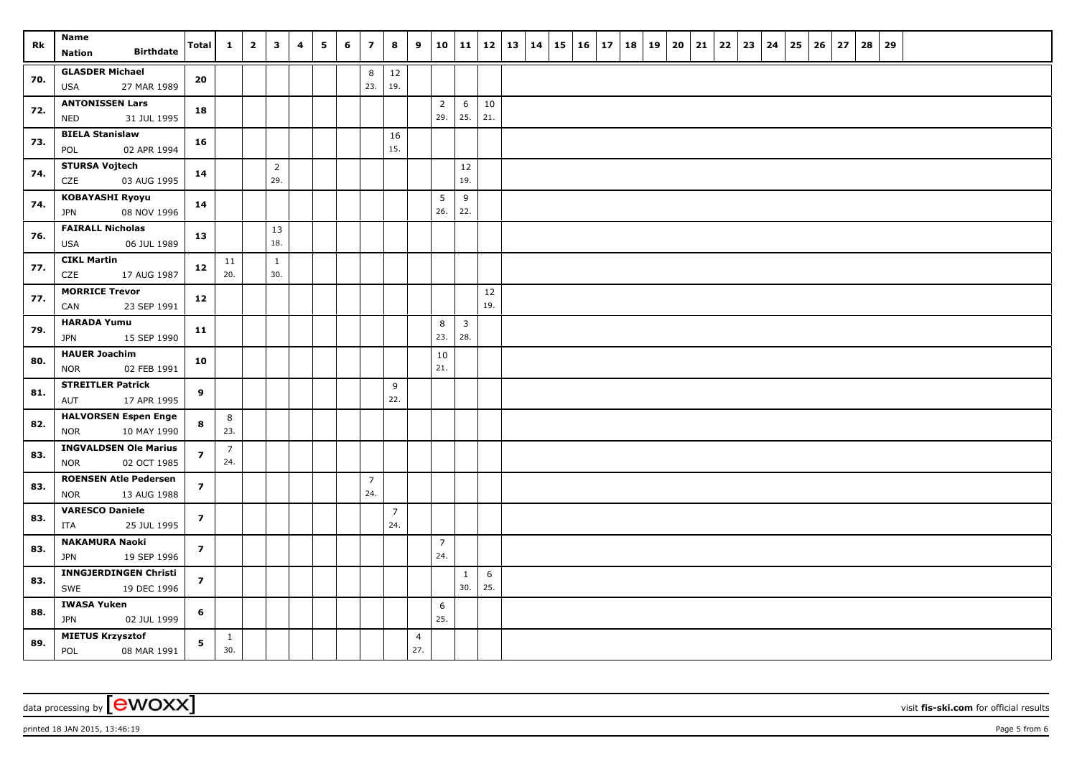| Rk  | Name<br><b>Birthdate</b><br><b>Nation</b>            | Total          | $\mathbf{1}$        | $\overline{\mathbf{2}}$ | $\mathbf{3}$        | 4 | 5 | 6 | $\overline{z}$ | 8                     | 9                     | 10                    | 11           | <b>12</b> | $\vert$ 13 $\vert$ 14 | 15 | $16 \mid 17$ | 18 | 19 | 20 | 21 | 22 | 23 | 24 | 25 | 26 | 27 | 28 | 29 |  |  |  |
|-----|------------------------------------------------------|----------------|---------------------|-------------------------|---------------------|---|---|---|----------------|-----------------------|-----------------------|-----------------------|--------------|-----------|-----------------------|----|--------------|----|----|----|----|----|----|----|----|----|----|----|----|--|--|--|
|     | <b>GLASDER Michael</b>                               |                |                     |                         |                     |   |   |   |                | $12\,$                |                       |                       |              |           |                       |    |              |    |    |    |    |    |    |    |    |    |    |    |    |  |  |  |
| 70. | 27 MAR 1989<br><b>USA</b>                            | 20             |                     |                         |                     |   |   |   | 8<br>23.       | 19.                   |                       |                       |              |           |                       |    |              |    |    |    |    |    |    |    |    |    |    |    |    |  |  |  |
|     | <b>ANTONISSEN Lars</b>                               |                |                     |                         |                     |   |   |   |                |                       |                       | $\overline{2}$        | 6            | $10\,$    |                       |    |              |    |    |    |    |    |    |    |    |    |    |    |    |  |  |  |
| 72. | 31 JUL 1995<br><b>NED</b>                            | 18             |                     |                         |                     |   |   |   |                |                       |                       | 29.                   | 25.          | 21.       |                       |    |              |    |    |    |    |    |    |    |    |    |    |    |    |  |  |  |
| 73. | <b>BIELA Stanislaw</b>                               | 16             |                     |                         |                     |   |   |   |                | 16                    |                       |                       |              |           |                       |    |              |    |    |    |    |    |    |    |    |    |    |    |    |  |  |  |
|     | 02 APR 1994<br>POL                                   |                |                     |                         |                     |   |   |   |                | 15.                   |                       |                       |              |           |                       |    |              |    |    |    |    |    |    |    |    |    |    |    |    |  |  |  |
| 74. | <b>STURSA Vojtech</b>                                | 14             |                     |                         | $\overline{2}$      |   |   |   |                |                       |                       |                       | 12           |           |                       |    |              |    |    |    |    |    |    |    |    |    |    |    |    |  |  |  |
|     | CZE<br>03 AUG 1995                                   |                |                     |                         | 29.                 |   |   |   |                |                       |                       |                       | 19.          |           |                       |    |              |    |    |    |    |    |    |    |    |    |    |    |    |  |  |  |
| 74. | <b>KOBAYASHI Ryoyu</b><br>08 NOV 1996<br><b>JPN</b>  | 14             |                     |                         |                     |   |   |   |                |                       |                       | 5<br>26.              | 9<br>22.     |           |                       |    |              |    |    |    |    |    |    |    |    |    |    |    |    |  |  |  |
| 76. | <b>FAIRALL Nicholas</b><br>06 JUL 1989<br><b>USA</b> | 13             |                     |                         | 13<br>18.           |   |   |   |                |                       |                       |                       |              |           |                       |    |              |    |    |    |    |    |    |    |    |    |    |    |    |  |  |  |
| 77. | <b>CIKL Martin</b>                                   | 12             | 11<br>20.           |                         | $\mathbf{1}$<br>30. |   |   |   |                |                       |                       |                       |              |           |                       |    |              |    |    |    |    |    |    |    |    |    |    |    |    |  |  |  |
|     | CZE<br>17 AUG 1987<br><b>MORRICE Trevor</b>          |                |                     |                         |                     |   |   |   |                |                       |                       |                       |              |           |                       |    |              |    |    |    |    |    |    |    |    |    |    |    |    |  |  |  |
| 77. | CAN<br>23 SEP 1991                                   | 12             |                     |                         |                     |   |   |   |                |                       |                       |                       |              | 12<br>19. |                       |    |              |    |    |    |    |    |    |    |    |    |    |    |    |  |  |  |
|     | <b>HARADA Yumu</b>                                   |                |                     |                         |                     |   |   |   |                |                       |                       | 8                     | $\mathbf{3}$ |           |                       |    |              |    |    |    |    |    |    |    |    |    |    |    |    |  |  |  |
| 79. | <b>JPN</b><br>15 SEP 1990                            | 11             |                     |                         |                     |   |   |   |                |                       |                       | 23.                   | 28.          |           |                       |    |              |    |    |    |    |    |    |    |    |    |    |    |    |  |  |  |
| 80. | <b>HAUER Joachim</b>                                 | 10             |                     |                         |                     |   |   |   |                |                       |                       | 10                    |              |           |                       |    |              |    |    |    |    |    |    |    |    |    |    |    |    |  |  |  |
|     | 02 FEB 1991<br><b>NOR</b>                            |                |                     |                         |                     |   |   |   |                |                       |                       | 21.                   |              |           |                       |    |              |    |    |    |    |    |    |    |    |    |    |    |    |  |  |  |
| 81. | <b>STREITLER Patrick</b><br>17 APR 1995<br>AUT       | 9              |                     |                         |                     |   |   |   |                | 9<br>22.              |                       |                       |              |           |                       |    |              |    |    |    |    |    |    |    |    |    |    |    |    |  |  |  |
|     | <b>HALVORSEN Espen Enge</b>                          |                | 8                   |                         |                     |   |   |   |                |                       |                       |                       |              |           |                       |    |              |    |    |    |    |    |    |    |    |    |    |    |    |  |  |  |
| 82. | 10 MAY 1990<br><b>NOR</b>                            | 8              | 23.                 |                         |                     |   |   |   |                |                       |                       |                       |              |           |                       |    |              |    |    |    |    |    |    |    |    |    |    |    |    |  |  |  |
|     | <b>INGVALDSEN Ole Marius</b>                         |                | $\overline{7}$      |                         |                     |   |   |   |                |                       |                       |                       |              |           |                       |    |              |    |    |    |    |    |    |    |    |    |    |    |    |  |  |  |
| 83. | 02 OCT 1985<br><b>NOR</b>                            | $\overline{z}$ | 24.                 |                         |                     |   |   |   |                |                       |                       |                       |              |           |                       |    |              |    |    |    |    |    |    |    |    |    |    |    |    |  |  |  |
| 83. | <b>ROENSEN Atle Pedersen</b>                         | $\overline{z}$ |                     |                         |                     |   |   |   | $\overline{7}$ |                       |                       |                       |              |           |                       |    |              |    |    |    |    |    |    |    |    |    |    |    |    |  |  |  |
|     | 13 AUG 1988<br><b>NOR</b>                            |                |                     |                         |                     |   |   |   | 24.            |                       |                       |                       |              |           |                       |    |              |    |    |    |    |    |    |    |    |    |    |    |    |  |  |  |
| 83. | <b>VARESCO Daniele</b>                               | $\overline{z}$ |                     |                         |                     |   |   |   |                | $\overline{7}$<br>24. |                       |                       |              |           |                       |    |              |    |    |    |    |    |    |    |    |    |    |    |    |  |  |  |
|     | 25 JUL 1995<br>ITA                                   |                |                     |                         |                     |   |   |   |                |                       |                       |                       |              |           |                       |    |              |    |    |    |    |    |    |    |    |    |    |    |    |  |  |  |
| 83. | <b>NAKAMURA Naoki</b><br>19 SEP 1996<br><b>JPN</b>   | $\overline{z}$ |                     |                         |                     |   |   |   |                |                       |                       | $\overline{7}$<br>24. |              |           |                       |    |              |    |    |    |    |    |    |    |    |    |    |    |    |  |  |  |
| 83. | <b>INNGJERDINGEN Christi</b>                         | $\overline{z}$ |                     |                         |                     |   |   |   |                |                       |                       |                       | $\mathbf{1}$ | 6         |                       |    |              |    |    |    |    |    |    |    |    |    |    |    |    |  |  |  |
|     | 19 DEC 1996<br>SWE                                   |                |                     |                         |                     |   |   |   |                |                       |                       |                       | 30.          | 25.       |                       |    |              |    |    |    |    |    |    |    |    |    |    |    |    |  |  |  |
| 88. | <b>IWASA Yuken</b>                                   | 6              |                     |                         |                     |   |   |   |                |                       |                       | 6                     |              |           |                       |    |              |    |    |    |    |    |    |    |    |    |    |    |    |  |  |  |
|     | <b>JPN</b><br>02 JUL 1999                            |                |                     |                         |                     |   |   |   |                |                       |                       | 25.                   |              |           |                       |    |              |    |    |    |    |    |    |    |    |    |    |    |    |  |  |  |
| 89. | <b>MIETUS Krzysztof</b><br>POL<br>08 MAR 1991        | 5              | $\mathbf{1}$<br>30. |                         |                     |   |   |   |                |                       | $\overline{4}$<br>27. |                       |              |           |                       |    |              |    |    |    |    |    |    |    |    |    |    |    |    |  |  |  |

data processing by **CWOXX** wisit **fis-ski.com** for official results

printed 18 JAN 2015, 13:46:19 **Page 5** from 6